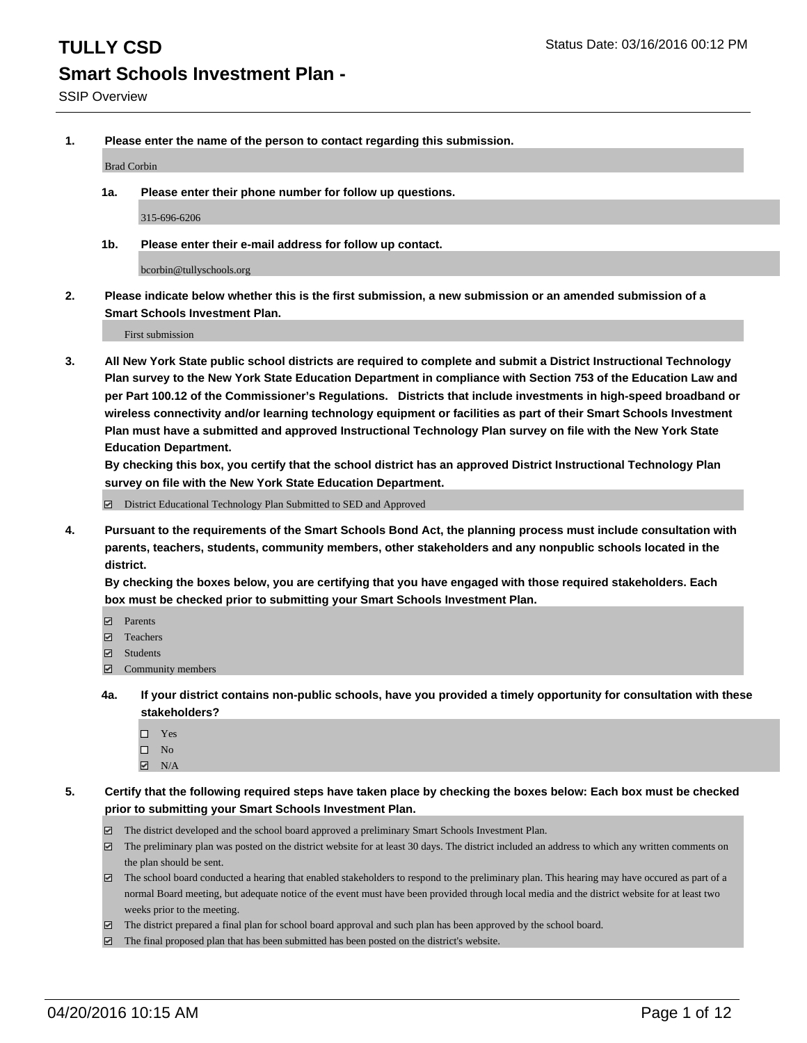**1. Please enter the name of the person to contact regarding this submission.**

Brad Corbin

**1a. Please enter their phone number for follow up questions.**

315-696-6206

**1b. Please enter their e-mail address for follow up contact.**

bcorbin@tullyschools.org

**2. Please indicate below whether this is the first submission, a new submission or an amended submission of a Smart Schools Investment Plan.**

First submission

**3. All New York State public school districts are required to complete and submit a District Instructional Technology Plan survey to the New York State Education Department in compliance with Section 753 of the Education Law and per Part 100.12 of the Commissioner's Regulations. Districts that include investments in high-speed broadband or wireless connectivity and/or learning technology equipment or facilities as part of their Smart Schools Investment Plan must have a submitted and approved Instructional Technology Plan survey on file with the New York State Education Department.** 

**By checking this box, you certify that the school district has an approved District Instructional Technology Plan survey on file with the New York State Education Department.**

■ District Educational Technology Plan Submitted to SED and Approved

**4. Pursuant to the requirements of the Smart Schools Bond Act, the planning process must include consultation with parents, teachers, students, community members, other stakeholders and any nonpublic schools located in the district.** 

**By checking the boxes below, you are certifying that you have engaged with those required stakeholders. Each box must be checked prior to submitting your Smart Schools Investment Plan.**

- **Parents**
- □ Teachers
- Students
- $\boxdot$  Community members
- **4a. If your district contains non-public schools, have you provided a timely opportunity for consultation with these stakeholders?**
	- □ Yes
	- $\square$  No
	- $\boxtimes$  N/A
- **5. Certify that the following required steps have taken place by checking the boxes below: Each box must be checked prior to submitting your Smart Schools Investment Plan.**
	- The district developed and the school board approved a preliminary Smart Schools Investment Plan.
	- The preliminary plan was posted on the district website for at least 30 days. The district included an address to which any written comments on the plan should be sent.
	- $\Box$  The school board conducted a hearing that enabled stakeholders to respond to the preliminary plan. This hearing may have occured as part of a normal Board meeting, but adequate notice of the event must have been provided through local media and the district website for at least two weeks prior to the meeting.
	- The district prepared a final plan for school board approval and such plan has been approved by the school board.
	- The final proposed plan that has been submitted has been posted on the district's website.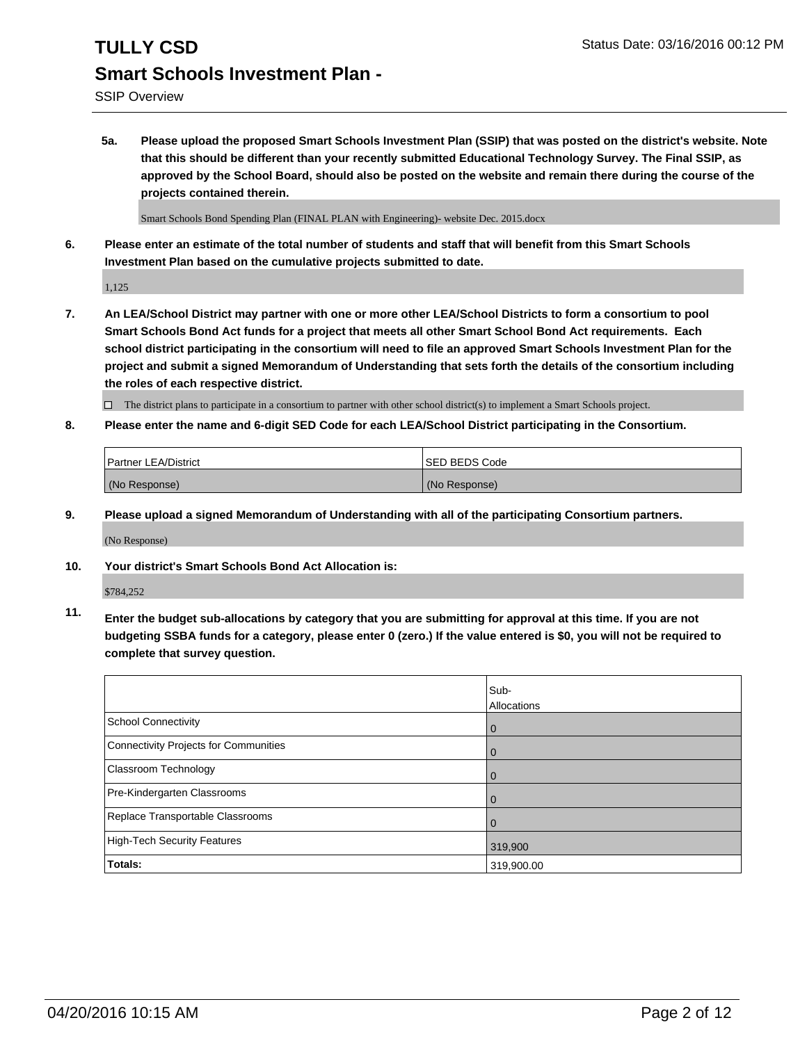## **TULLY CSD** Status Date: 03/16/2016 00:12 PM **Smart Schools Investment Plan -**

SSIP Overview

**5a. Please upload the proposed Smart Schools Investment Plan (SSIP) that was posted on the district's website. Note that this should be different than your recently submitted Educational Technology Survey. The Final SSIP, as approved by the School Board, should also be posted on the website and remain there during the course of the projects contained therein.**

Smart Schools Bond Spending Plan (FINAL PLAN with Engineering)- website Dec. 2015.docx

**6. Please enter an estimate of the total number of students and staff that will benefit from this Smart Schools Investment Plan based on the cumulative projects submitted to date.**

1,125

**7. An LEA/School District may partner with one or more other LEA/School Districts to form a consortium to pool Smart Schools Bond Act funds for a project that meets all other Smart School Bond Act requirements. Each school district participating in the consortium will need to file an approved Smart Schools Investment Plan for the project and submit a signed Memorandum of Understanding that sets forth the details of the consortium including the roles of each respective district.**

 $\Box$  The district plans to participate in a consortium to partner with other school district(s) to implement a Smart Schools project.

**8. Please enter the name and 6-digit SED Code for each LEA/School District participating in the Consortium.**

| <b>Partner LEA/District</b> | <b>ISED BEDS Code</b> |
|-----------------------------|-----------------------|
| (No Response)               | (No Response)         |

**9. Please upload a signed Memorandum of Understanding with all of the participating Consortium partners.**

(No Response)

**10. Your district's Smart Schools Bond Act Allocation is:**

\$784,252

**11. Enter the budget sub-allocations by category that you are submitting for approval at this time. If you are not budgeting SSBA funds for a category, please enter 0 (zero.) If the value entered is \$0, you will not be required to complete that survey question.**

|                                       | Sub-<br>Allocations |
|---------------------------------------|---------------------|
| <b>School Connectivity</b>            | 0                   |
| Connectivity Projects for Communities | 0                   |
| Classroom Technology                  | 0                   |
| Pre-Kindergarten Classrooms           | $\Omega$            |
| Replace Transportable Classrooms      | $\Omega$            |
| High-Tech Security Features           | 319,900             |
| <b>Totals:</b>                        | 319,900.00          |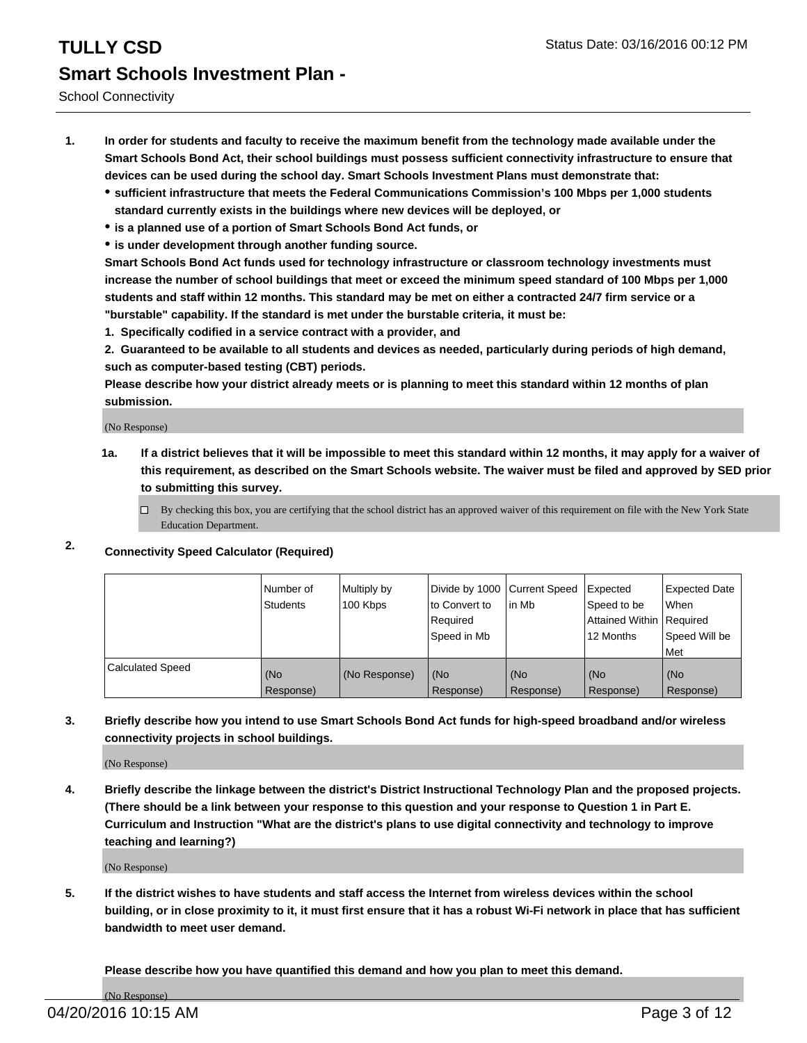- **1. In order for students and faculty to receive the maximum benefit from the technology made available under the Smart Schools Bond Act, their school buildings must possess sufficient connectivity infrastructure to ensure that devices can be used during the school day. Smart Schools Investment Plans must demonstrate that:**
	- **sufficient infrastructure that meets the Federal Communications Commission's 100 Mbps per 1,000 students standard currently exists in the buildings where new devices will be deployed, or**
	- **is a planned use of a portion of Smart Schools Bond Act funds, or**
	- **is under development through another funding source.**

**Smart Schools Bond Act funds used for technology infrastructure or classroom technology investments must increase the number of school buildings that meet or exceed the minimum speed standard of 100 Mbps per 1,000 students and staff within 12 months. This standard may be met on either a contracted 24/7 firm service or a "burstable" capability. If the standard is met under the burstable criteria, it must be:**

**1. Specifically codified in a service contract with a provider, and**

**2. Guaranteed to be available to all students and devices as needed, particularly during periods of high demand, such as computer-based testing (CBT) periods.**

**Please describe how your district already meets or is planning to meet this standard within 12 months of plan submission.**

(No Response)

- **1a. If a district believes that it will be impossible to meet this standard within 12 months, it may apply for a waiver of this requirement, as described on the Smart Schools website. The waiver must be filed and approved by SED prior to submitting this survey.**
	- □ By checking this box, you are certifying that the school district has an approved waiver of this requirement on file with the New York State Education Department.
- **2. Connectivity Speed Calculator (Required)**

|                         | Number of<br>Students | Multiply by<br>100 Kbps | Divide by 1000 Current Speed<br>to Convert to<br>Reauired<br>Speed in Mb | lin Mb             | Expected<br>Speed to be<br>Attained Within   Required<br>12 Months | <b>Expected Date</b><br>l When<br>Speed Will be<br>l Met |
|-------------------------|-----------------------|-------------------------|--------------------------------------------------------------------------|--------------------|--------------------------------------------------------------------|----------------------------------------------------------|
| <b>Calculated Speed</b> | (No<br>Response)      | (No Response)           | (No<br>Response)                                                         | l (No<br>Response) | (No<br>Response)                                                   | l (No<br>Response)                                       |

### **3. Briefly describe how you intend to use Smart Schools Bond Act funds for high-speed broadband and/or wireless connectivity projects in school buildings.**

(No Response)

**4. Briefly describe the linkage between the district's District Instructional Technology Plan and the proposed projects. (There should be a link between your response to this question and your response to Question 1 in Part E. Curriculum and Instruction "What are the district's plans to use digital connectivity and technology to improve teaching and learning?)**

(No Response)

**5. If the district wishes to have students and staff access the Internet from wireless devices within the school building, or in close proximity to it, it must first ensure that it has a robust Wi-Fi network in place that has sufficient bandwidth to meet user demand.**

**Please describe how you have quantified this demand and how you plan to meet this demand.**

(No Response)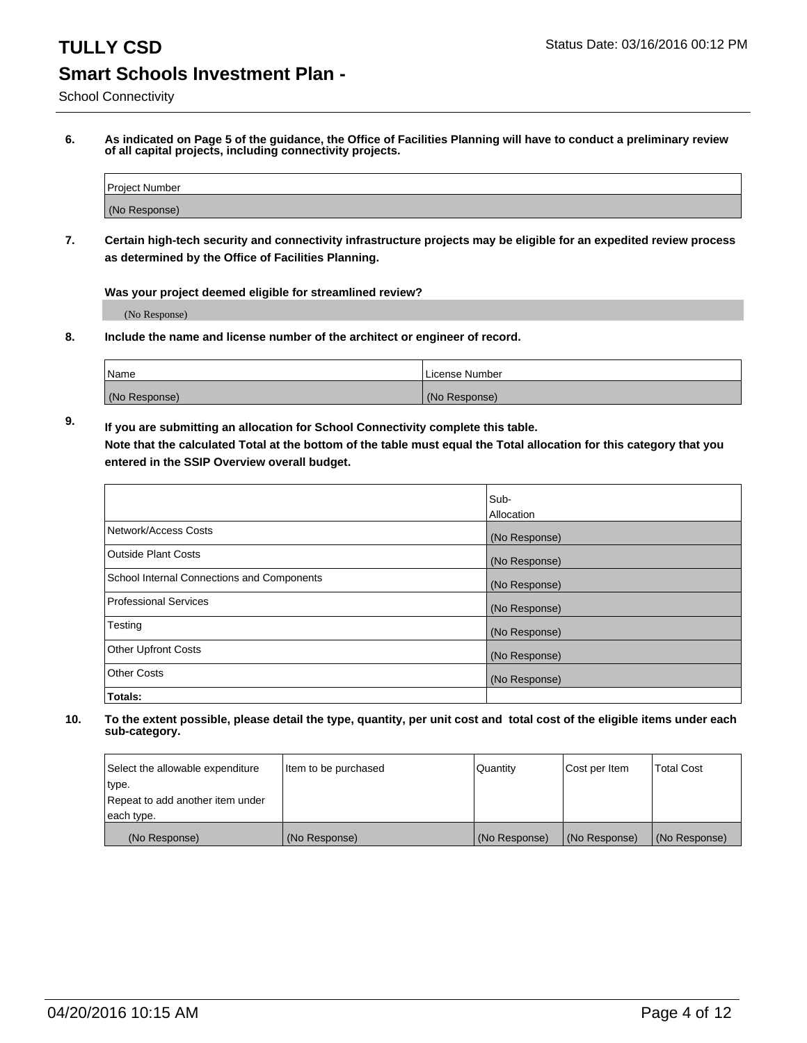School Connectivity

**6. As indicated on Page 5 of the guidance, the Office of Facilities Planning will have to conduct a preliminary review of all capital projects, including connectivity projects.**

| Project Number |  |
|----------------|--|
| (No Response)  |  |

**7. Certain high-tech security and connectivity infrastructure projects may be eligible for an expedited review process as determined by the Office of Facilities Planning.**

**Was your project deemed eligible for streamlined review?**

(No Response)

**8. Include the name and license number of the architect or engineer of record.**

| 'Name         | i License Number |
|---------------|------------------|
| (No Response) | (No Response)    |

**9. If you are submitting an allocation for School Connectivity complete this table. Note that the calculated Total at the bottom of the table must equal the Total allocation for this category that you entered in the SSIP Overview overall budget.** 

|                                            | Sub-              |
|--------------------------------------------|-------------------|
|                                            | <b>Allocation</b> |
| Network/Access Costs                       | (No Response)     |
| <b>Outside Plant Costs</b>                 | (No Response)     |
| School Internal Connections and Components | (No Response)     |
| <b>Professional Services</b>               | (No Response)     |
| Testing                                    | (No Response)     |
| <b>Other Upfront Costs</b>                 | (No Response)     |
| <b>Other Costs</b>                         | (No Response)     |
| Totals:                                    |                   |

| Select the allowable expenditure | Item to be purchased | Quantity      | Cost per Item | Total Cost    |
|----------------------------------|----------------------|---------------|---------------|---------------|
| type.                            |                      |               |               |               |
| Repeat to add another item under |                      |               |               |               |
| each type.                       |                      |               |               |               |
| (No Response)                    | (No Response)        | (No Response) | (No Response) | (No Response) |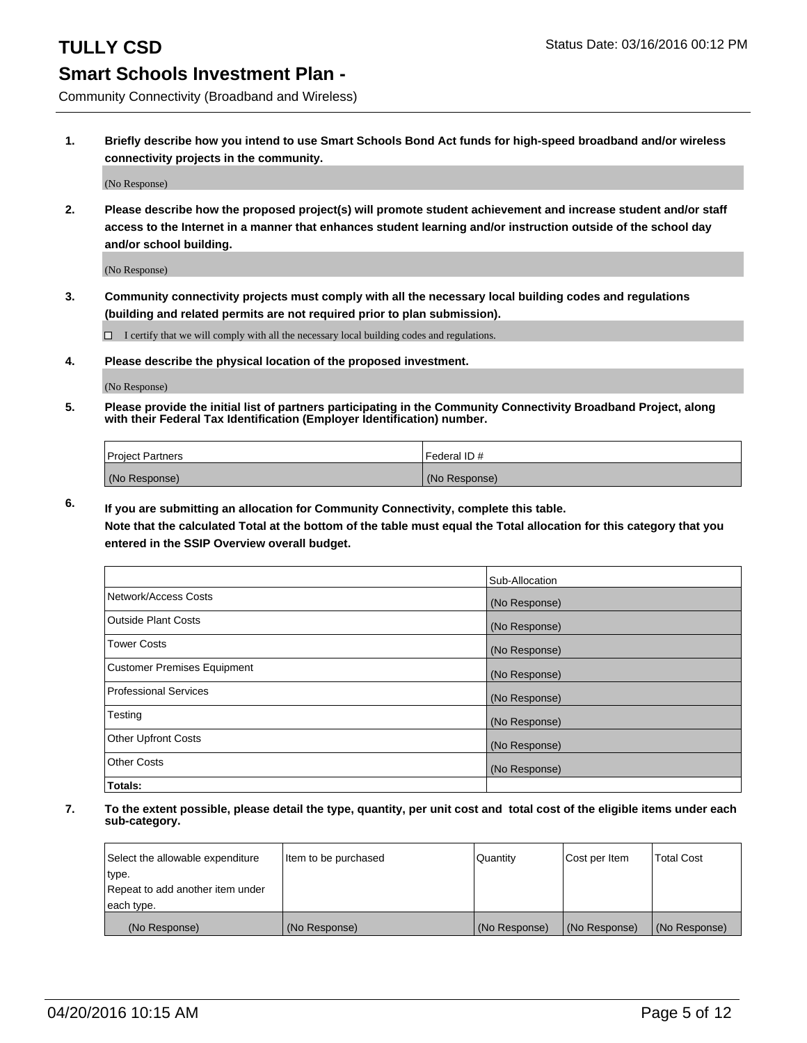Community Connectivity (Broadband and Wireless)

**1. Briefly describe how you intend to use Smart Schools Bond Act funds for high-speed broadband and/or wireless connectivity projects in the community.**

(No Response)

**2. Please describe how the proposed project(s) will promote student achievement and increase student and/or staff access to the Internet in a manner that enhances student learning and/or instruction outside of the school day and/or school building.**

(No Response)

**3. Community connectivity projects must comply with all the necessary local building codes and regulations (building and related permits are not required prior to plan submission).**

 $\Box$  I certify that we will comply with all the necessary local building codes and regulations.

**4. Please describe the physical location of the proposed investment.**

(No Response)

**5. Please provide the initial list of partners participating in the Community Connectivity Broadband Project, along with their Federal Tax Identification (Employer Identification) number.**

| <b>Project Partners</b> | I Federal ID # |
|-------------------------|----------------|
| (No Response)           | (No Response)  |

**6. If you are submitting an allocation for Community Connectivity, complete this table.**

**Note that the calculated Total at the bottom of the table must equal the Total allocation for this category that you entered in the SSIP Overview overall budget.**

|                                    | Sub-Allocation |
|------------------------------------|----------------|
| Network/Access Costs               | (No Response)  |
| Outside Plant Costs                | (No Response)  |
| <b>Tower Costs</b>                 | (No Response)  |
| <b>Customer Premises Equipment</b> | (No Response)  |
| Professional Services              | (No Response)  |
| Testing                            | (No Response)  |
| <b>Other Upfront Costs</b>         | (No Response)  |
| <b>Other Costs</b>                 | (No Response)  |
| Totals:                            |                |

| Select the allowable expenditure | Item to be purchased | Quantity      | Cost per Item | <b>Total Cost</b> |
|----------------------------------|----------------------|---------------|---------------|-------------------|
| type.                            |                      |               |               |                   |
| Repeat to add another item under |                      |               |               |                   |
| each type.                       |                      |               |               |                   |
| (No Response)                    | (No Response)        | (No Response) | (No Response) | (No Response)     |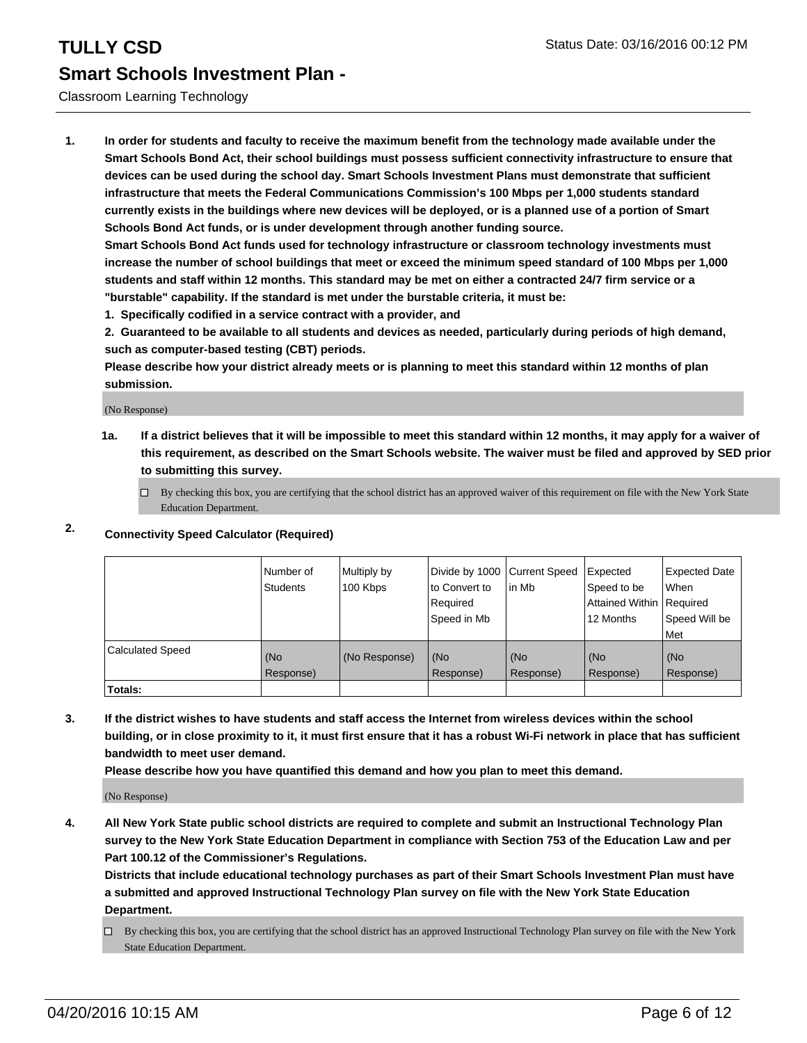### Classroom Learning Technology

**1. In order for students and faculty to receive the maximum benefit from the technology made available under the Smart Schools Bond Act, their school buildings must possess sufficient connectivity infrastructure to ensure that devices can be used during the school day. Smart Schools Investment Plans must demonstrate that sufficient infrastructure that meets the Federal Communications Commission's 100 Mbps per 1,000 students standard currently exists in the buildings where new devices will be deployed, or is a planned use of a portion of Smart Schools Bond Act funds, or is under development through another funding source.**

**Smart Schools Bond Act funds used for technology infrastructure or classroom technology investments must increase the number of school buildings that meet or exceed the minimum speed standard of 100 Mbps per 1,000 students and staff within 12 months. This standard may be met on either a contracted 24/7 firm service or a "burstable" capability. If the standard is met under the burstable criteria, it must be:**

**1. Specifically codified in a service contract with a provider, and**

**2. Guaranteed to be available to all students and devices as needed, particularly during periods of high demand, such as computer-based testing (CBT) periods.**

**Please describe how your district already meets or is planning to meet this standard within 12 months of plan submission.**

(No Response)

**1a. If a district believes that it will be impossible to meet this standard within 12 months, it may apply for a waiver of this requirement, as described on the Smart Schools website. The waiver must be filed and approved by SED prior to submitting this survey.**

 $\Box$  By checking this box, you are certifying that the school district has an approved waiver of this requirement on file with the New York State Education Department.

### **2. Connectivity Speed Calculator (Required)**

|                         | Number of<br><b>Students</b> | Multiply by<br>100 Kbps | Divide by 1000 Current Speed<br>lto Convert to<br>Required<br>Speed in Mb | lin Mb           | Expected<br>Speed to be<br>Attained Within   Required<br>12 Months | <b>Expected Date</b><br>When<br>Speed Will be<br>Met |
|-------------------------|------------------------------|-------------------------|---------------------------------------------------------------------------|------------------|--------------------------------------------------------------------|------------------------------------------------------|
| <b>Calculated Speed</b> | (No<br>Response)             | (No Response)           | (No<br>Response)                                                          | (No<br>Response) | (No<br>Response)                                                   | (No<br>Response)                                     |
| Totals:                 |                              |                         |                                                                           |                  |                                                                    |                                                      |

**3. If the district wishes to have students and staff access the Internet from wireless devices within the school building, or in close proximity to it, it must first ensure that it has a robust Wi-Fi network in place that has sufficient bandwidth to meet user demand.**

**Please describe how you have quantified this demand and how you plan to meet this demand.**

(No Response)

**4. All New York State public school districts are required to complete and submit an Instructional Technology Plan survey to the New York State Education Department in compliance with Section 753 of the Education Law and per Part 100.12 of the Commissioner's Regulations.**

**Districts that include educational technology purchases as part of their Smart Schools Investment Plan must have a submitted and approved Instructional Technology Plan survey on file with the New York State Education Department.**

 $\Box$  By checking this box, you are certifying that the school district has an approved Instructional Technology Plan survey on file with the New York State Education Department.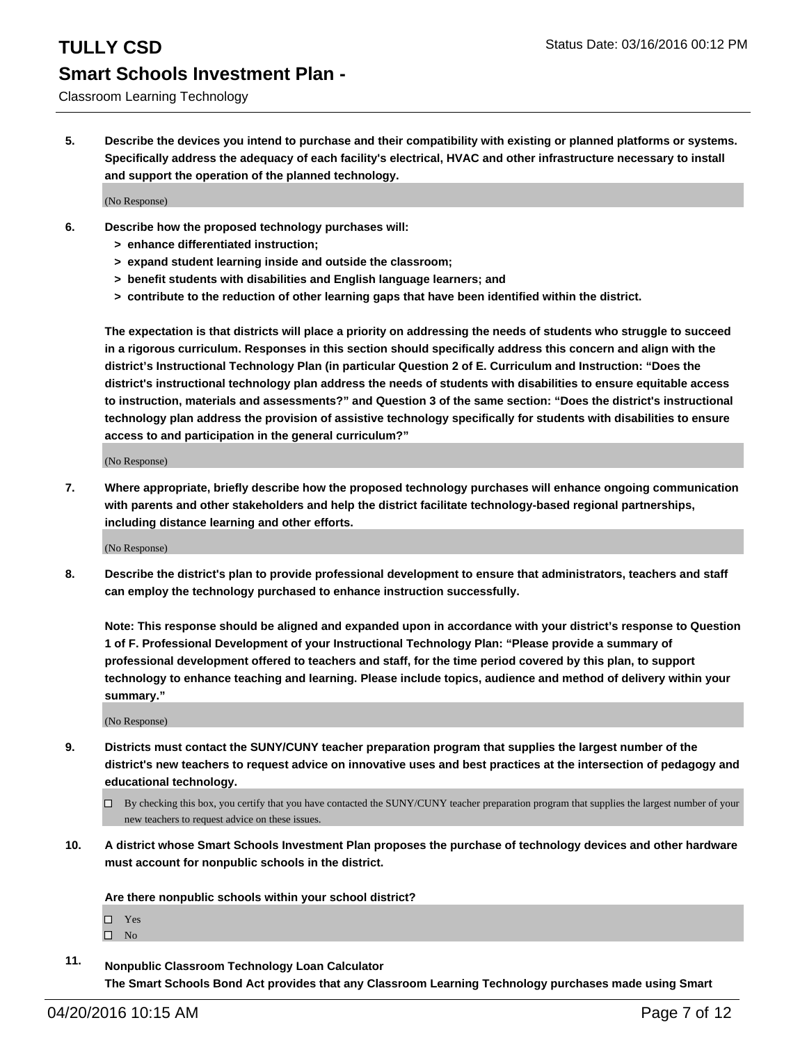Classroom Learning Technology

**5. Describe the devices you intend to purchase and their compatibility with existing or planned platforms or systems. Specifically address the adequacy of each facility's electrical, HVAC and other infrastructure necessary to install and support the operation of the planned technology.**

(No Response)

- **6. Describe how the proposed technology purchases will:**
	- **> enhance differentiated instruction;**
	- **> expand student learning inside and outside the classroom;**
	- **> benefit students with disabilities and English language learners; and**
	- **> contribute to the reduction of other learning gaps that have been identified within the district.**

**The expectation is that districts will place a priority on addressing the needs of students who struggle to succeed in a rigorous curriculum. Responses in this section should specifically address this concern and align with the district's Instructional Technology Plan (in particular Question 2 of E. Curriculum and Instruction: "Does the district's instructional technology plan address the needs of students with disabilities to ensure equitable access to instruction, materials and assessments?" and Question 3 of the same section: "Does the district's instructional technology plan address the provision of assistive technology specifically for students with disabilities to ensure access to and participation in the general curriculum?"**

(No Response)

**7. Where appropriate, briefly describe how the proposed technology purchases will enhance ongoing communication with parents and other stakeholders and help the district facilitate technology-based regional partnerships, including distance learning and other efforts.**

(No Response)

**8. Describe the district's plan to provide professional development to ensure that administrators, teachers and staff can employ the technology purchased to enhance instruction successfully.**

**Note: This response should be aligned and expanded upon in accordance with your district's response to Question 1 of F. Professional Development of your Instructional Technology Plan: "Please provide a summary of professional development offered to teachers and staff, for the time period covered by this plan, to support technology to enhance teaching and learning. Please include topics, audience and method of delivery within your summary."**

(No Response)

- **9. Districts must contact the SUNY/CUNY teacher preparation program that supplies the largest number of the district's new teachers to request advice on innovative uses and best practices at the intersection of pedagogy and educational technology.**
	- $\Box$  By checking this box, you certify that you have contacted the SUNY/CUNY teacher preparation program that supplies the largest number of your new teachers to request advice on these issues.
- **10. A district whose Smart Schools Investment Plan proposes the purchase of technology devices and other hardware must account for nonpublic schools in the district.**

**Are there nonpublic schools within your school district?**

□ Yes

 $\square$  No

**11. Nonpublic Classroom Technology Loan Calculator The Smart Schools Bond Act provides that any Classroom Learning Technology purchases made using Smart**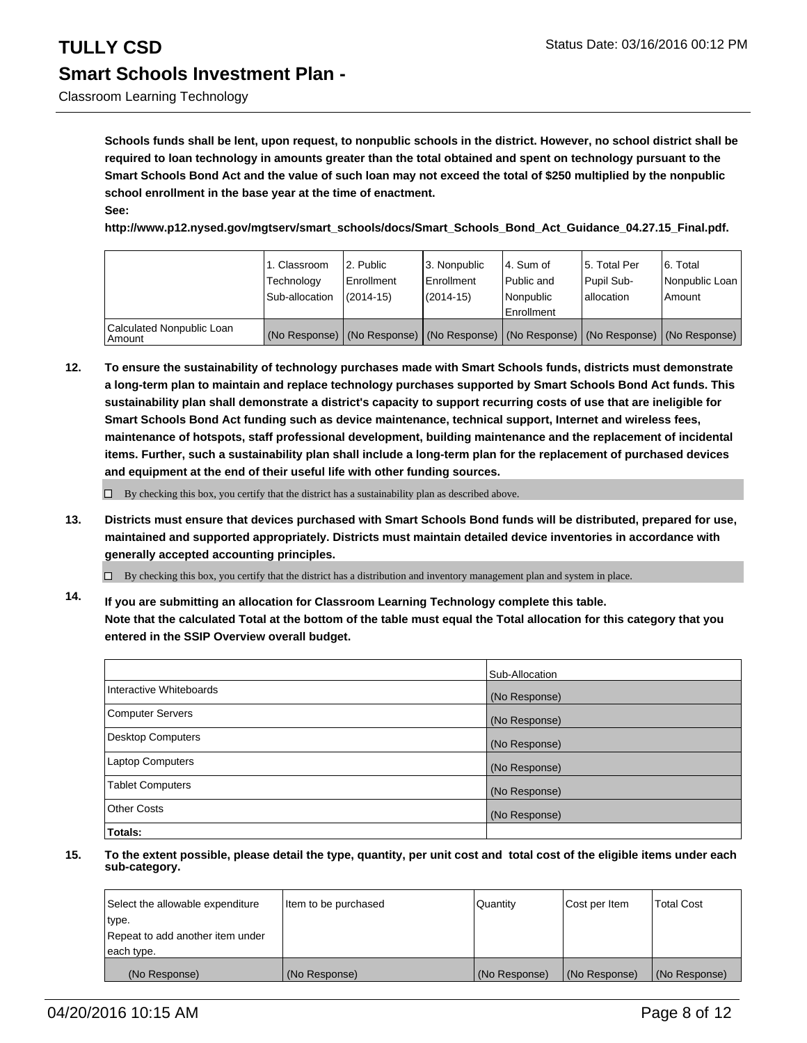# **TULLY CSD** Status Date: 03/16/2016 00:12 PM **Smart Schools Investment Plan -**

**Schools funds shall be lent, upon request, to nonpublic schools in the district. However, no school district shall be required to loan technology in amounts greater than the total obtained and spent on technology pursuant to the Smart Schools Bond Act and the value of such loan may not exceed the total of \$250 multiplied by the nonpublic school enrollment in the base year at the time of enactment. See:**

**http://www.p12.nysed.gov/mgtserv/smart\_schools/docs/Smart\_Schools\_Bond\_Act\_Guidance\_04.27.15\_Final.pdf.**

|                                     | 1. Classroom<br>Technology<br>Sub-allocation | 2. Public<br>Enrollment<br>$(2014 - 15)$ | 3. Nonpublic<br><b>Enrollment</b><br>(2014-15) | 14. Sum of<br>Public and<br>Nonpublic<br>Enrollment                                           | 15. Total Per<br>Pupil Sub-<br>lallocation | 6. Total<br>Nonpublic Loan<br>l Amount |
|-------------------------------------|----------------------------------------------|------------------------------------------|------------------------------------------------|-----------------------------------------------------------------------------------------------|--------------------------------------------|----------------------------------------|
| Calculated Nonpublic Loan<br>Amount |                                              |                                          |                                                | (No Response)   (No Response)   (No Response)   (No Response)   (No Response)   (No Response) |                                            |                                        |

**12. To ensure the sustainability of technology purchases made with Smart Schools funds, districts must demonstrate a long-term plan to maintain and replace technology purchases supported by Smart Schools Bond Act funds. This sustainability plan shall demonstrate a district's capacity to support recurring costs of use that are ineligible for Smart Schools Bond Act funding such as device maintenance, technical support, Internet and wireless fees, maintenance of hotspots, staff professional development, building maintenance and the replacement of incidental items. Further, such a sustainability plan shall include a long-term plan for the replacement of purchased devices and equipment at the end of their useful life with other funding sources.**

 $\Box$  By checking this box, you certify that the district has a sustainability plan as described above.

**13. Districts must ensure that devices purchased with Smart Schools Bond funds will be distributed, prepared for use, maintained and supported appropriately. Districts must maintain detailed device inventories in accordance with generally accepted accounting principles.**

 $\Box$  By checking this box, you certify that the district has a distribution and inventory management plan and system in place.

**14. If you are submitting an allocation for Classroom Learning Technology complete this table. Note that the calculated Total at the bottom of the table must equal the Total allocation for this category that you entered in the SSIP Overview overall budget.**

|                          | Sub-Allocation |
|--------------------------|----------------|
| Interactive Whiteboards  | (No Response)  |
| <b>Computer Servers</b>  | (No Response)  |
| <b>Desktop Computers</b> | (No Response)  |
| Laptop Computers         | (No Response)  |
| <b>Tablet Computers</b>  | (No Response)  |
| Other Costs              | (No Response)  |
| Totals:                  |                |

| Select the allowable expenditure | Item to be purchased | Quantity      | Cost per Item | <b>Total Cost</b> |
|----------------------------------|----------------------|---------------|---------------|-------------------|
| type.                            |                      |               |               |                   |
| Repeat to add another item under |                      |               |               |                   |
| each type.                       |                      |               |               |                   |
| (No Response)                    | (No Response)        | (No Response) | (No Response) | (No Response)     |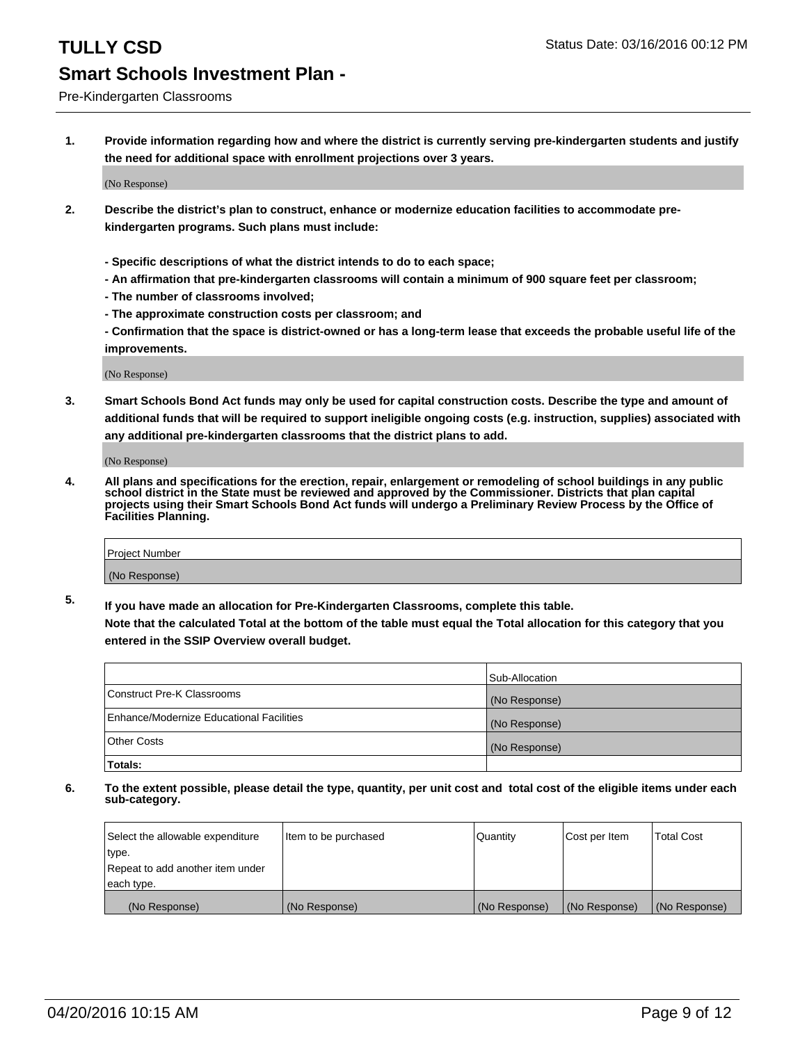Pre-Kindergarten Classrooms

**1. Provide information regarding how and where the district is currently serving pre-kindergarten students and justify the need for additional space with enrollment projections over 3 years.**

(No Response)

- **2. Describe the district's plan to construct, enhance or modernize education facilities to accommodate prekindergarten programs. Such plans must include:**
	- **Specific descriptions of what the district intends to do to each space;**
	- **An affirmation that pre-kindergarten classrooms will contain a minimum of 900 square feet per classroom;**
	- **The number of classrooms involved;**
	- **The approximate construction costs per classroom; and**
	- **Confirmation that the space is district-owned or has a long-term lease that exceeds the probable useful life of the improvements.**

(No Response)

**3. Smart Schools Bond Act funds may only be used for capital construction costs. Describe the type and amount of additional funds that will be required to support ineligible ongoing costs (e.g. instruction, supplies) associated with any additional pre-kindergarten classrooms that the district plans to add.**

(No Response)

**4. All plans and specifications for the erection, repair, enlargement or remodeling of school buildings in any public school district in the State must be reviewed and approved by the Commissioner. Districts that plan capital projects using their Smart Schools Bond Act funds will undergo a Preliminary Review Process by the Office of Facilities Planning.**

| Project Number |  |
|----------------|--|
| (No Response)  |  |

**5. If you have made an allocation for Pre-Kindergarten Classrooms, complete this table. Note that the calculated Total at the bottom of the table must equal the Total allocation for this category that you**

**entered in the SSIP Overview overall budget.**

|                                          | Sub-Allocation |
|------------------------------------------|----------------|
| Construct Pre-K Classrooms               | (No Response)  |
| Enhance/Modernize Educational Facilities | (No Response)  |
| Other Costs                              | (No Response)  |
| Totals:                                  |                |

| Select the allowable expenditure | Item to be purchased | Quantity      | Cost per Item | <b>Total Cost</b> |
|----------------------------------|----------------------|---------------|---------------|-------------------|
| type.                            |                      |               |               |                   |
| Repeat to add another item under |                      |               |               |                   |
| each type.                       |                      |               |               |                   |
| (No Response)                    | (No Response)        | (No Response) | (No Response) | (No Response)     |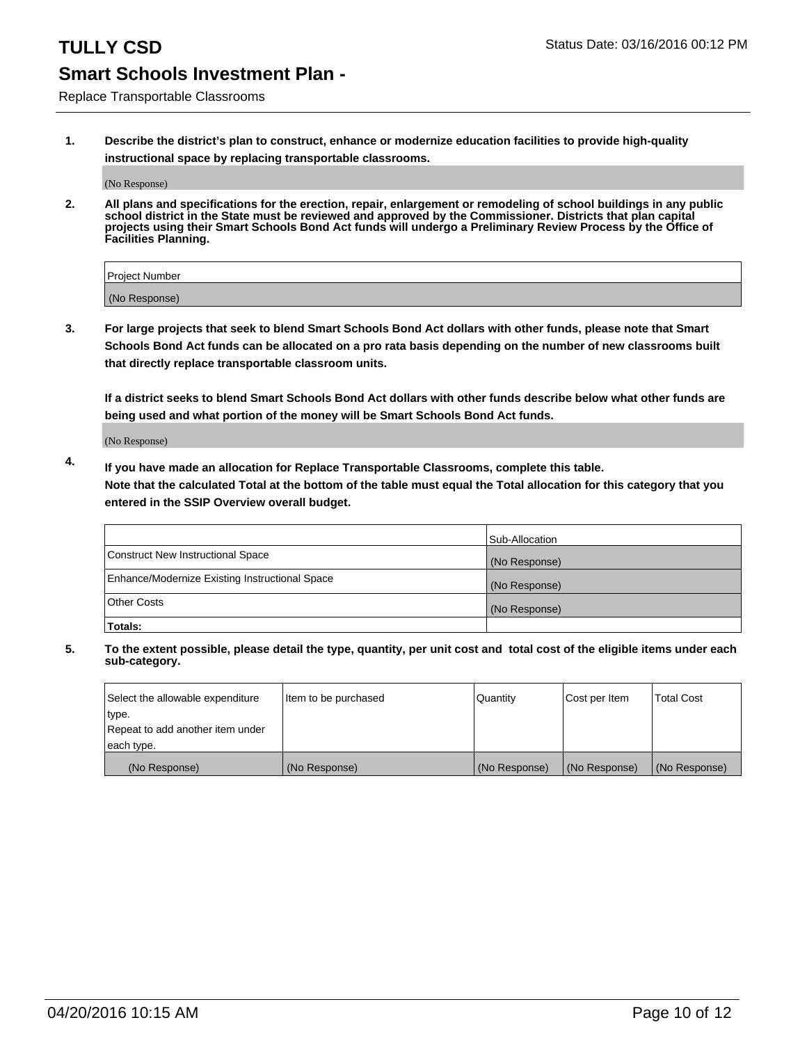Replace Transportable Classrooms

**1. Describe the district's plan to construct, enhance or modernize education facilities to provide high-quality instructional space by replacing transportable classrooms.**

(No Response)

**2. All plans and specifications for the erection, repair, enlargement or remodeling of school buildings in any public school district in the State must be reviewed and approved by the Commissioner. Districts that plan capital projects using their Smart Schools Bond Act funds will undergo a Preliminary Review Process by the Office of Facilities Planning.**

| Project Number |  |
|----------------|--|
| (No Response)  |  |

**3. For large projects that seek to blend Smart Schools Bond Act dollars with other funds, please note that Smart Schools Bond Act funds can be allocated on a pro rata basis depending on the number of new classrooms built that directly replace transportable classroom units.**

**If a district seeks to blend Smart Schools Bond Act dollars with other funds describe below what other funds are being used and what portion of the money will be Smart Schools Bond Act funds.**

(No Response)

**4. If you have made an allocation for Replace Transportable Classrooms, complete this table. Note that the calculated Total at the bottom of the table must equal the Total allocation for this category that you entered in the SSIP Overview overall budget.**

|                                                | Sub-Allocation |
|------------------------------------------------|----------------|
| Construct New Instructional Space              | (No Response)  |
| Enhance/Modernize Existing Instructional Space | (No Response)  |
| <b>Other Costs</b>                             | (No Response)  |
| Totals:                                        |                |

| Select the allowable expenditure | Item to be purchased | Quantity      | Cost per Item | <b>Total Cost</b> |
|----------------------------------|----------------------|---------------|---------------|-------------------|
| type.                            |                      |               |               |                   |
| Repeat to add another item under |                      |               |               |                   |
| each type.                       |                      |               |               |                   |
| (No Response)                    | (No Response)        | (No Response) | (No Response) | (No Response)     |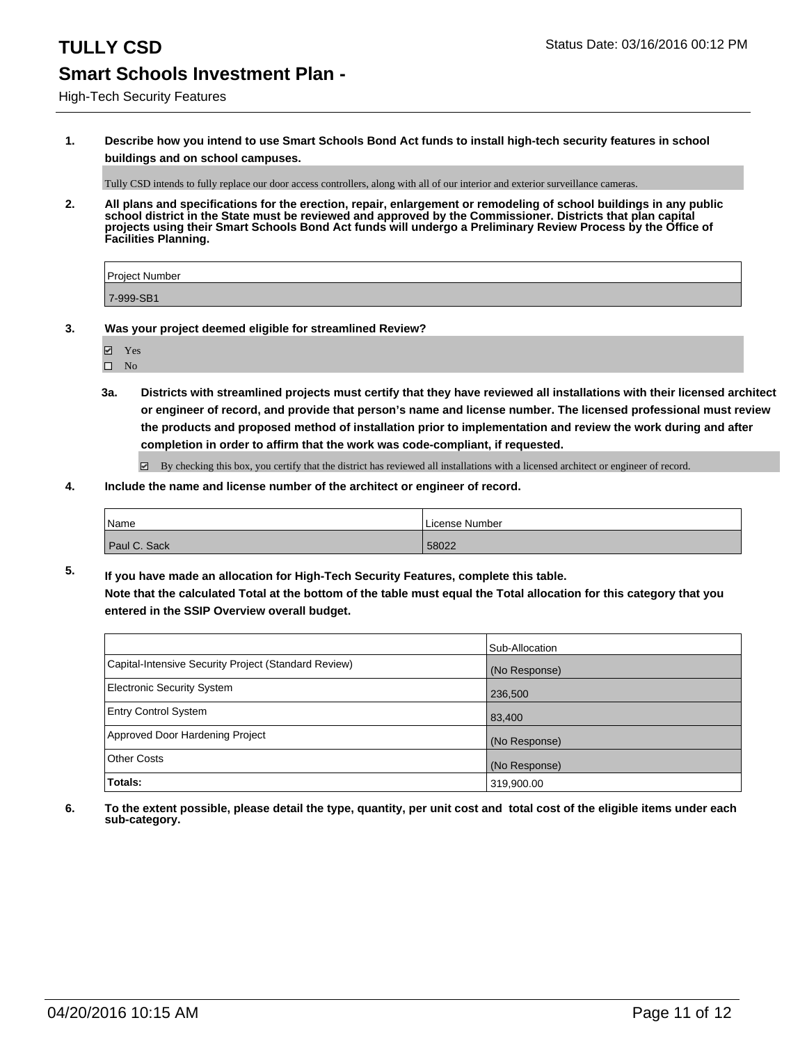**1. Describe how you intend to use Smart Schools Bond Act funds to install high-tech security features in school buildings and on school campuses.**

Tully CSD intends to fully replace our door access controllers, along with all of our interior and exterior surveillance cameras.

**2. All plans and specifications for the erection, repair, enlargement or remodeling of school buildings in any public school district in the State must be reviewed and approved by the Commissioner. Districts that plan capital projects using their Smart Schools Bond Act funds will undergo a Preliminary Review Process by the Office of Facilities Planning.** 

| Project Number |  |
|----------------|--|
| 7-999-SB1      |  |

- **3. Was your project deemed eligible for streamlined Review?**
	- Yes
	- $\square$  No
	- **3a. Districts with streamlined projects must certify that they have reviewed all installations with their licensed architect or engineer of record, and provide that person's name and license number. The licensed professional must review the products and proposed method of installation prior to implementation and review the work during and after completion in order to affirm that the work was code-compliant, if requested.**

 $\boxtimes$  By checking this box, you certify that the district has reviewed all installations with a licensed architect or engineer of record.

**4. Include the name and license number of the architect or engineer of record.**

| <sup> </sup> Name | License Number |
|-------------------|----------------|
| Paul C. Sack      | 58022          |

**5. If you have made an allocation for High-Tech Security Features, complete this table. Note that the calculated Total at the bottom of the table must equal the Total allocation for this category that you entered in the SSIP Overview overall budget.**

|                                                      | Sub-Allocation |
|------------------------------------------------------|----------------|
| Capital-Intensive Security Project (Standard Review) | (No Response)  |
| Electronic Security System                           | 236,500        |
| <b>Entry Control System</b>                          | 83,400         |
| Approved Door Hardening Project                      | (No Response)  |
| Other Costs                                          | (No Response)  |
| Totals:                                              | 319,900.00     |